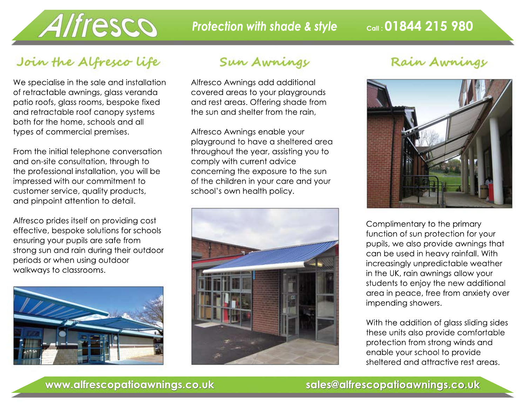

## Join the Alfresco life

We specialise in the sale and installation of retractable awnings, glass veranda patio roofs, glass rooms, bespoke fixed and retractable roof canopy systems both for the home, schools and all types of commercial premises.

From the initial telephone conversation and on-site consultation, through to the professional installation, you will be impressed with our commitment to customer service, quality products, and pinpoint attention to detail.

Alfresco prides itself on providing cost effective, bespoke solutions for schools ensuring your pupils are safe from strong sun and rain during their outdoor periods or when using outdoor walkways to classrooms.



#### Sun Awnings

Alfresco Awnings add additional covered areas to your playgrounds and rest areas. Offering shade from the sun and shelter from the rain,

Alfresco Awnings enable your playground to have a sheltered area throughout the year, assisting you to comply with current advice concerning the exposure to the sun of the children in your care and your school's own health policy.



#### Rain Awnings



Complimentary to the primary function of sun protection for your pupils, we also provide awnings that can be used in heavy rainfall. With increasingly unpredictable weather in the UK, rain awnings allow your students to enjoy the new additional area in peace, free from anxiety over impending showers.

With the addition of glass sliding sides these units also provide comfortable protection from strong winds and enable your school to provide sheltered and attractive rest areas.

#### **www.alfrescopatioawnings.co.uk sales@alfrescopatioawnings.co.uk**